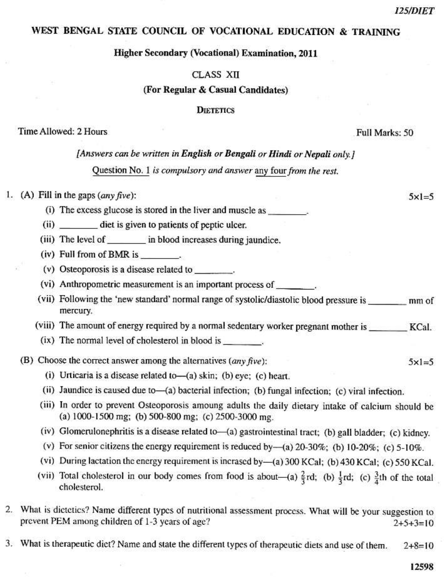$5x1=5$ 

 $5x1=5$ 

### WEST BENGAL STATE COUNCIL OF VOCATIONAL EDUCATION & TRAINING

#### **Higher Secondary (Vocational) Examination, 2011**

#### CLASS XII

#### (For Regular & Casual Candidates)

#### **DIETETICS**

#### Time Allowed: 2 Hours

Full Marks: 50

### [Answers can be written in English or Bengali or Hindi or Nepali only.]

Question No. 1 is compulsory and answer any four from the rest.

### 1. (A) Fill in the gaps  $(\text{any five})$ :

(i) The excess glucose is stored in the liver and muscle as \_\_\_\_\_\_\_\_.

- (ii) \_\_\_\_\_\_\_\_\_ diet is given to patients of peptic ulcer.
- (iii) The level of in blood increases during jaundice.
- (iv) Full from of BMR is
- (v) Osteoporosis is a disease related to
- (vi) Anthropometric measurement is an important process of \_\_\_\_\_\_\_\_.
- (vii) Following the 'new standard' normal range of systolic/diastolic blood pressure is mm of mercury.
- (viii) The amount of energy required by a normal sedentary worker pregnant mother is \_\_\_\_\_\_\_\_ KCal.
- (ix) The normal level of cholesterol in blood is \_\_\_\_\_\_\_\_.

### (B) Choose the correct answer among the alternatives  $(\textit{any five})$ :

- (i) Urticaria is a disease related to- $(a)$  skin; (b) eye; (c) heart.
- (ii) Jaundice is caused due to-(a) bacterial infection; (b) fungal infection; (c) viral infection.
- (iii) In order to prevent Osteoporosis amoung adults the daily dietary intake of calcium should be (a)  $1000-1500$  mg; (b)  $500-800$  mg; (c)  $2500-3000$  mg.
- (iv) Glomerulonephritis is a disease related to-(a) gastrointestinal tract; (b) gall bladder; (c) kidney.
- (v) For senior citizens the energy requirement is reduced by  $-(a)$  20-30%; (b) 10-20%; (c) 5-10%.
- (vi) During lactation the energy requirement is incrased by-(a) 300 KCal; (b) 430 KCal; (c) 550 KCal.
- (vii) Total cholesterol in our body comes from food is about—(a)  $\frac{2}{3}$ rd; (b)  $\frac{1}{3}$ rd; (c)  $\frac{3}{4}$ th of the total cholesterol.
- 2. What is dictetics? Name different types of nutritional assessment process. What will be your suggestion to prevent PEM among children of 1-3 years of age?  $2+5+3=10$
- 3. What is therapeutic diet? Name and state the different types of therapeutic diets and use of them.  $2+8=10$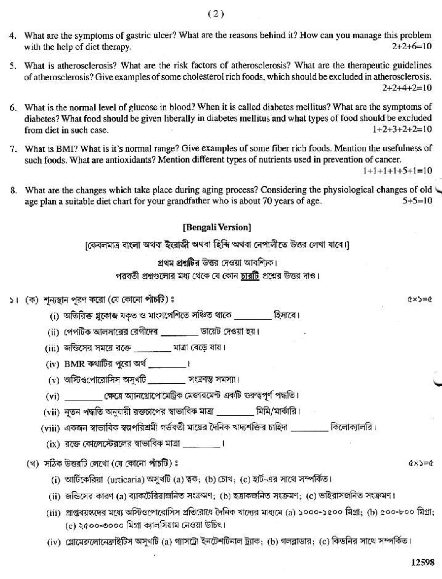- 4. What are the symptoms of gastric ulcer? What are the reasons behind it? How can you manage this problem with the help of diet therapy.  $2+2+6=10$
- 5. What is atherosclerosis? What are the risk factors of atherosclerosis? What are the therapeutic guidelines of atherosclerosis? Give examples of some cholesterol rich foods, which should be excluded in atherosclerosis.  $2+2+4+2=10$
- 6. What is the normal level of glucose in blood? When it is called diabetes mellitus? What are the symptoms of diabetes? What food should be given liberally in diabetes mellitus and what types of food should be excluded from diet in such case.  $1+2+3+2+2=10$
- 7. What is BMI? What is it's normal range? Give examples of some fiber rich foods. Mention the usefulness of such foods. What are antioxidants? Mention different types of nutrients used in prevention of cancer.

 $1+1+1+1+5+1=10$ 

8. What are the changes which take place during aging process? Considering the physiological changes of old age plan a suitable diet chart for your grandfather who is about 70 years of age.  $5+5=10$ 

# [Bengali Version]

[কেবলমাত্র বাংলা অথবা ইংরাজী অথবা হিন্দি অথবা নেপালীতে উত্তর লেখা যাবে।]

## প্ৰথম প্ৰশ্ৰটিৰ উত্তৰ দেওয়া আবশিকে।

পরবর্তী প্রশ্নগুলোর মধ্য থেকে যে কোন চারটি প্রশ্নের উত্তর দাও।

### ১। (ক) শূন্যস্থান পুরণ করো (যে কোনো পাঁচটি)ঃ

(i) অতিরিক্ত গ্লকোজ যকৃত ও মাংসপেশিতে সঞ্চিত থাকে *স্পার* (হিসাবে ।

(ii) পেপটিক আলসারের রেগীদের \_\_\_\_\_\_\_ ডায়েট দেওয়া হয়।

- (iii) জন্ডিসের সময়ে রক্তে \_\_\_\_\_\_ মাত্রা বেড়ে যায়।
- (iv) BMR কথাটির পরো অর্থ \_\_\_\_\_\_\_।
- (v) অস্টিওপোরোসিস অসুথটি সংক্রান্ত সমস্যা।
- (vi) ক্ষেত্রে আনথ্রোপোমেট্রিক মেজারমেন্ট একটি গুরুত্বপূর্ণ পদ্ধতি।
- (vii) নৃতন পদ্ধতি অনুযায়ী রক্তচাপের স্বাভাবিক মাত্রা \_\_\_\_\_\_\_ মিমি/মার্কারি।
- (viii) একজন স্বাভাবিক স্বল্পপরিশ্রমী গর্ভবতী মায়ের দৈনিক খাদ্যশক্তির চাহিদা ব্যাসিন কিলোক্যালরি।
	- (ix) রত্তে কোলেস্টেরলের স্বাভাবিক মাত্রা সালো সালো

# (খ) সঠিক উত্তরটি লেখো (যে কোনো পাঁচটি) ঃ

- (i) আর্টিকেরিয়া (urticaria) অসুখটি (a) ত্বক; (b) চোখ; (c) হার্ট-এর সাথে সম্পর্কিত।
- (ii) জন্ডিসের কারণ (a) ব্যাকটেরিয়াজনিত সংক্রমণ; (b) ছত্রাকজনিত সংক্রমণ; (c) ভাইরাসজনিত সংক্রমণ।
- (iii) গ্রাপ্তবয়স্কদের মধ্যে অস্টিওপোরোসিস প্রতিরোধে দৈনিক খাদ্যের মাধ্যমে (a) ১০০০-১৫০০ মিগ্রা: (b) ৫০০-৮০০ মিগ্রা: (c) ২৫০০-৩০০০ মিগ্রা ক্যালসিয়াম নেওয়া উচিৎ।
- (iv) গ্লোমেরুলোনেফ্রাইটিস অসুখটি (a) গ্যাসট্রো ইনটেশটিনাল ট্র্যাক: (b) গলব্লাডার: (c) কিডনির সাথে সম্পর্কিত।

 $Q \times S = Q$ 

 $Q \times 5 = Q$